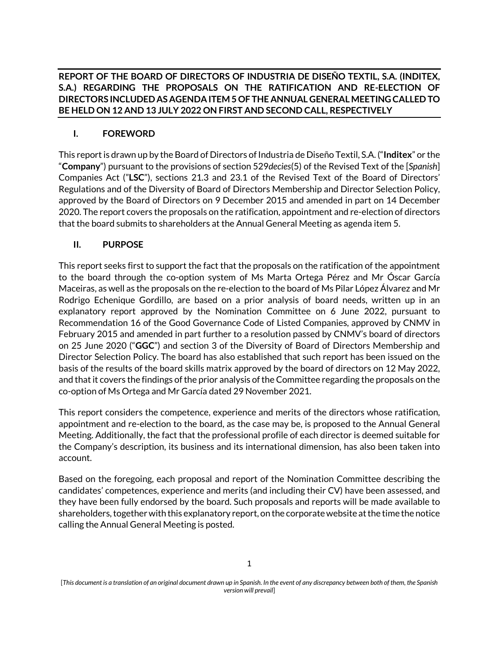**REPORT OF THE BOARD OF DIRECTORS OF INDUSTRIA DE DISEÑO TEXTIL, S.A. (INDITEX, S.A.) REGARDING THE PROPOSALS ON THE RATIFICATION AND RE-ELECTION OF DIRECTORS INCLUDED AS AGENDA ITEM 5 OF THE ANNUAL GENERAL MEETING CALLED TO BE HELD ON 12 AND 13 JULY 2022 ON FIRST AND SECOND CALL, RESPECTIVELY**

## **I. FOREWORD**

This report is drawn up by the Board of Directors of Industria de Diseño Textil, S.A. ("**Inditex**" or the "**Company**") pursuant to the provisions of section 529*decies*(5) of the Revised Text of the [*Spanish*] Companies Act ("**LSC**"), sections 21.3 and 23.1 of the Revised Text of the Board of Directors' Regulations and of the Diversity of Board of Directors Membership and Director Selection Policy, approved by the Board of Directors on 9 December 2015 and amended in part on 14 December 2020. The report covers the proposals on the ratification, appointment and re-election of directors that the board submits to shareholders at the Annual General Meeting as agenda item 5.

## **II. PURPOSE**

This report seeks first to support the fact that the proposals on the ratification of the appointment to the board through the co-option system of Ms Marta Ortega Pérez and Mr Óscar García Maceiras, as well as the proposals on the re-election to the board of Ms Pilar López Álvarez and Mr Rodrigo Echenique Gordillo, are based on a prior analysis of board needs, written up in an explanatory report approved by the Nomination Committee on 6 June 2022, pursuant to Recommendation 16 of the Good Governance Code of Listed Companies, approved by CNMV in February 2015 and amended in part further to a resolution passed by CNMV's board of directors on 25 June 2020 ("**GGC**") and section 3 of the Diversity of Board of Directors Membership and Director Selection Policy. The board has also established that such report has been issued on the basis of the results of the board skills matrix approved by the board of directors on 12 May 2022, and that it covers the findings of the prior analysis of the Committee regarding the proposals on the co-option of Ms Ortega and Mr García dated 29 November 2021.

This report considers the competence, experience and merits of the directors whose ratification, appointment and re-election to the board, as the case may be, is proposed to the Annual General Meeting. Additionally, the fact that the professional profile of each director is deemed suitable for the Company's description, its business and its international dimension, has also been taken into account.

Based on the foregoing, each proposal and report of the Nomination Committee describing the candidates' competences, experience and merits (and including their CV) have been assessed, and they have been fully endorsed by the board. Such proposals and reports will be made available to shareholders, togetherwith this explanatory report, on the corporate website at the time the notice calling the Annual General Meeting is posted.

<sup>[</sup>*This document is a translation of an original document drawn up in Spanish. In the event of any discrepancy between both of them, the Spanish version will prevail*]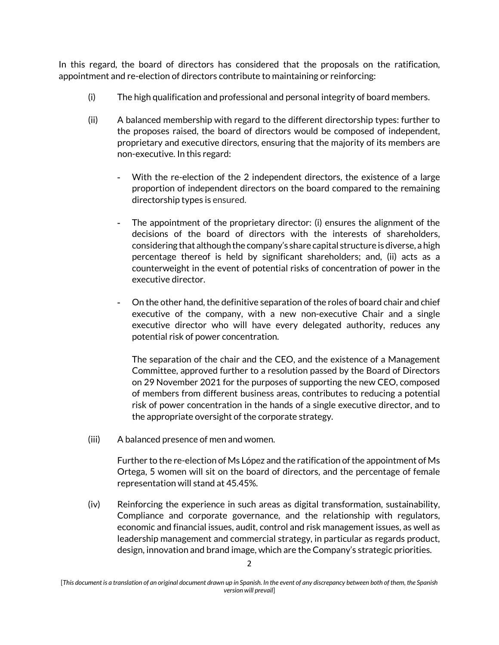In this regard, the board of directors has considered that the proposals on the ratification, appointment and re-election of directors contribute to maintaining or reinforcing:

- (i) The high qualification and professional and personal integrity of board members.
- (ii) A balanced membership with regard to the different directorship types: further to the proposes raised, the board of directors would be composed of independent, proprietary and executive directors, ensuring that the majority of its members are non-executive. In this regard:
	- With the re-election of the 2 independent directors, the existence of a large proportion of independent directors on the board compared to the remaining directorship types is ensured.
	- The appointment of the proprietary director: (i) ensures the alignment of the decisions of the board of directors with the interests of shareholders, considering that although the company's share capital structure is diverse, a high percentage thereof is held by significant shareholders; and, (ii) acts as a counterweight in the event of potential risks of concentration of power in the executive director.
	- On the other hand, the definitive separation of the roles of board chair and chief executive of the company, with a new non-executive Chair and a single executive director who will have every delegated authority, reduces any potential risk of power concentration.

The separation of the chair and the CEO, and the existence of a Management Committee, approved further to a resolution passed by the Board of Directors on 29 November 2021 for the purposes of supporting the new CEO, composed of members from different business areas, contributes to reducing a potential risk of power concentration in the hands of a single executive director, and to the appropriate oversight of the corporate strategy.

(iii) A balanced presence of men and women.

Further to the re-election of Ms López and the ratification of the appointment of Ms Ortega, 5 women will sit on the board of directors, and the percentage of female representation will stand at 45.45%.

(iv) Reinforcing the experience in such areas as digital transformation, sustainability, Compliance and corporate governance, and the relationship with regulators, economic and financial issues, audit, control and risk management issues, as well as leadership management and commercial strategy, in particular as regards product, design, innovation and brand image, which are the Company's strategic priorities.

<sup>[</sup>*This document is a translation of an original document drawn up in Spanish. In the event of any discrepancy between both of them, the Spanish version will prevail*]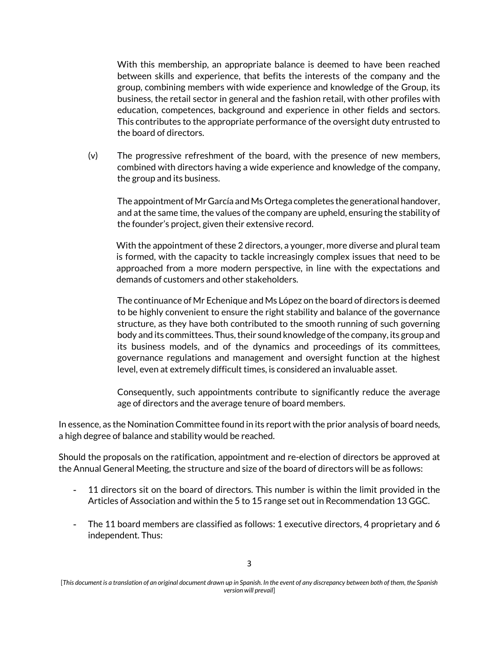With this membership, an appropriate balance is deemed to have been reached between skills and experience, that befits the interests of the company and the group, combining members with wide experience and knowledge of the Group, its business, the retail sector in general and the fashion retail, with other profiles with education, competences, background and experience in other fields and sectors. This contributes to the appropriate performance of the oversight duty entrusted to the board of directors.

(v) The progressive refreshment of the board, with the presence of new members, combined with directors having a wide experience and knowledge of the company, the group and its business.

The appointment of Mr García and Ms Ortega completes the generational handover, and at the same time, the values of the company are upheld, ensuring the stability of the founder's project, given their extensive record.

With the appointment of these 2 directors, a younger, more diverse and plural team is formed, with the capacity to tackle increasingly complex issues that need to be approached from a more modern perspective, in line with the expectations and demands of customers and other stakeholders.

The continuance of Mr Echenique and Ms López on the board of directors is deemed to be highly convenient to ensure the right stability and balance of the governance structure, as they have both contributed to the smooth running of such governing body and its committees. Thus, their sound knowledge of the company, its group and its business models, and of the dynamics and proceedings of its committees, governance regulations and management and oversight function at the highest level, even at extremely difficult times, is considered an invaluable asset.

Consequently, such appointments contribute to significantly reduce the average age of directors and the average tenure of board members.

In essence, as the Nomination Committee found in its report with the prior analysis of board needs, a high degree of balance and stability would be reached.

Should the proposals on the ratification, appointment and re-election of directors be approved at the Annual General Meeting, the structure and size of the board of directors will be as follows:

- 11 directors sit on the board of directors. This number is within the limit provided in the Articles of Association and within the 5 to 15 range set out in Recommendation 13 GGC.
- The 11 board members are classified as follows: 1 executive directors, 4 proprietary and 6 independent. Thus:

<sup>[</sup>*This document is a translation of an original document drawn up in Spanish. In the event of any discrepancy between both of them, the Spanish version will prevail*]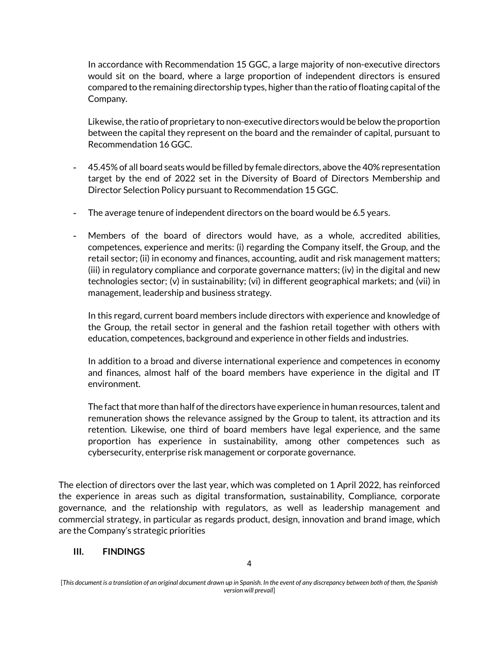In accordance with Recommendation 15 GGC, a large majority of non-executive directors would sit on the board, where a large proportion of independent directors is ensured compared to the remaining directorship types, higher than the ratio of floating capital of the Company.

Likewise, the ratio of proprietary to non-executive directors would be below the proportion between the capital they represent on the board and the remainder of capital, pursuant to Recommendation 16 GGC.

- 45.45% of all board seats would be filled by female directors, above the 40% representation target by the end of 2022 set in the Diversity of Board of Directors Membership and Director Selection Policy pursuant to Recommendation 15 GGC.
- The average tenure of independent directors on the board would be 6.5 years.
- Members of the board of directors would have, as a whole, accredited abilities, competences, experience and merits: (i) regarding the Company itself, the Group, and the retail sector; (ii) in economy and finances, accounting, audit and risk management matters; (iii) in regulatory compliance and corporate governance matters; (iv) in the digital and new technologies sector; (v) in sustainability; (vi) in different geographical markets; and (vii) in management, leadership and business strategy.

In this regard, current board members include directors with experience and knowledge of the Group, the retail sector in general and the fashion retail together with others with education, competences, background and experience in other fields and industries.

In addition to a broad and diverse international experience and competences in economy and finances, almost half of the board members have experience in the digital and IT environment.

The fact that more than half of the directors have experience in human resources, talent and remuneration shows the relevance assigned by the Group to talent, its attraction and its retention. Likewise, one third of board members have legal experience, and the same proportion has experience in sustainability, among other competences such as cybersecurity, enterprise risk management or corporate governance.

The election of directors over the last year, which was completed on 1 April 2022, has reinforced the experience in areas such as digital transformation**,** sustainability, Compliance, corporate governance, and the relationship with regulators, as well as leadership management and commercial strategy, in particular as regards product, design, innovation and brand image, which are the Company's strategic priorities

## **III. FINDINGS**

<sup>[</sup>*This document is a translation of an original document drawn up in Spanish. In the event of any discrepancy between both of them, the Spanish version will prevail*]